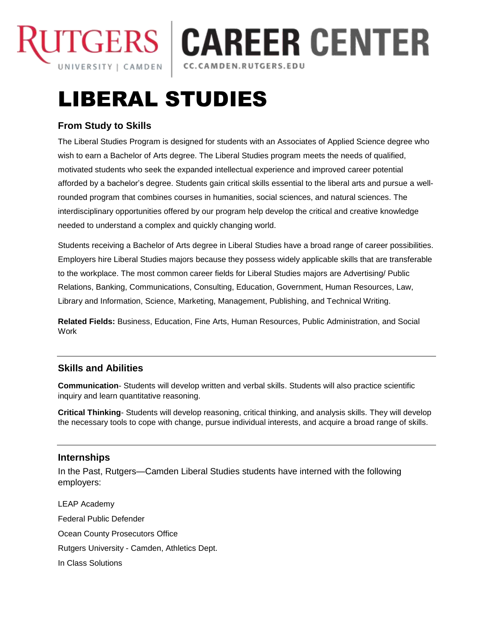

# **TGERS | CAREER CENTER**

## LIBERAL STUDIES

### **From Study to Skills**

The Liberal Studies Program is designed for students with an Associates of Applied Science degree who wish to earn a Bachelor of Arts degree. The Liberal Studies program meets the needs of qualified, motivated students who seek the expanded intellectual experience and improved career potential afforded by a bachelor's degree. Students gain critical skills essential to the liberal arts and pursue a wellrounded program that combines courses in humanities, social sciences, and natural sciences. The interdisciplinary opportunities offered by our program help develop the critical and creative knowledge needed to understand a complex and quickly changing world.

Students receiving a Bachelor of Arts degree in Liberal Studies have a broad range of career possibilities. Employers hire Liberal Studies majors because they possess widely applicable skills that are transferable to the workplace. The most common career fields for Liberal Studies majors are Advertising/ Public Relations, Banking, Communications, Consulting, Education, Government, Human Resources, Law, Library and Information, Science, Marketing, Management, Publishing, and Technical Writing.

**Related Fields:** Business, Education, Fine Arts, Human Resources, Public Administration, and Social **Work** 

#### **Skills and Abilities**

**Communication**- Students will develop written and verbal skills. Students will also practice scientific inquiry and learn quantitative reasoning.

**Critical Thinking**- Students will develop reasoning, critical thinking, and analysis skills. They will develop the necessary tools to cope with change, pursue individual interests, and acquire a broad range of skills.

#### **Internships**

In the Past, Rutgers—Camden Liberal Studies students have interned with the following employers:

LEAP Academy Federal Public Defender Ocean County Prosecutors Office Rutgers University - Camden, Athletics Dept. In Class Solutions